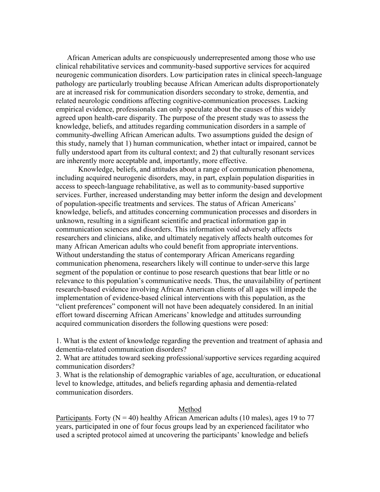African American adults are conspicuously underrepresented among those who use clinical rehabilitative services and community-based supportive services for acquired neurogenic communication disorders. Low participation rates in clinical speech-language pathology are particularly troubling because African American adults disproportionately are at increased risk for communication disorders secondary to stroke, dementia, and related neurologic conditions affecting cognitive-communication processes. Lacking empirical evidence, professionals can only speculate about the causes of this widely agreed upon health-care disparity. The purpose of the present study was to assess the knowledge, beliefs, and attitudes regarding communication disorders in a sample of community-dwelling African American adults. Two assumptions guided the design of this study, namely that 1) human communication, whether intact or impaired, cannot be fully understood apart from its cultural context; and 2) that culturally resonant services are inherently more acceptable and, importantly, more effective.

Knowledge, beliefs, and attitudes about a range of communication phenomena, including acquired neurogenic disorders, may, in part, explain population disparities in access to speech-language rehabilitative, as well as to community-based supportive services. Further, increased understanding may better inform the design and development of population-specific treatments and services. The status of African Americans' knowledge, beliefs, and attitudes concerning communication processes and disorders in unknown, resulting in a significant scientific and practical information gap in communication sciences and disorders. This information void adversely affects researchers and clinicians, alike, and ultimately negatively affects health outcomes for many African American adults who could benefit from appropriate interventions. Without understanding the status of contemporary African Americans regarding communication phenomena, researchers likely will continue to under-serve this large segment of the population or continue to pose research questions that bear little or no relevance to this population's communicative needs. Thus, the unavailability of pertinent research-based evidence involving African American clients of all ages will impede the implementation of evidence-based clinical interventions with this population, as the "client preferences" component will not have been adequately considered. In an initial effort toward discerning African Americans' knowledge and attitudes surrounding acquired communication disorders the following questions were posed:

1. What is the extent of knowledge regarding the prevention and treatment of aphasia and dementia-related communication disorders?

2. What are attitudes toward seeking professional/supportive services regarding acquired communication disorders?

3. What is the relationship of demographic variables of age, acculturation, or educational level to knowledge, attitudes, and beliefs regarding aphasia and dementia-related communication disorders.

## Method

Participants. Forty ( $N = 40$ ) healthy African American adults (10 males), ages 19 to 77 years, participated in one of four focus groups lead by an experienced facilitator who used a scripted protocol aimed at uncovering the participants' knowledge and beliefs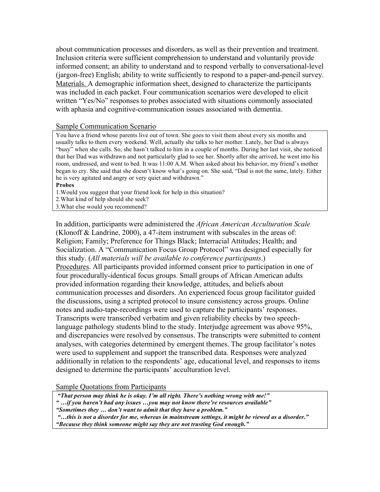about communication processes and disorders, as well as their prevention and treatment. Inclusion criteria were sufficient comprehension to understand and voluntarily provide informed consent; an ability to understand and to respond verbally to conversational-level (jargon-free) English; ability to write sufficiently to respond to a paper-and-pencil survey. Materials. A demographic information sheet, designed to characterize the participants was included in each packet. Four communication scenarios were developed to elicit written "Yes/No" responses to probes associated with situations commonly associated with aphasia and cognitive-communication issues associated with dementia.

# Sample Communication Scenario

You have a friend whose parents live out of town. She goes to visit them about every six months and usually talks to them every weekend. Well, actually she talks to her mother. Lately, her Dad is always "busy" when she calls. So, she hasn't talked to him in a couple of months. During her last visit, she noticed that her Dad was withdrawn and not particularly glad to see her. Shortly after she arrived, he went into his room, undressed, and went to bed. It was 11:00 A.M. When asked about his behavior, my friend's mother began to cry. She said that she doesn't know what's going on. She said, "Dad is not the same, lately. Either he is very agitated and angry or very quiet and withdrawn."

#### **Probes**

1.Would you suggest that your friend look for help in this situation?

2.What kind of help should she seek?

3.What else would you recommend?

In addition, participants were administered the *African American Acculturation Scale* (Klonoff & Landrine, 2000), a 47-item instrument with subscales in the areas of: Religion; Family; Preference for Things Black; Interracial Attitudes; Health; and Socialization. A "Communication Focus Group Protocol" was designed especially for this study. (*All materials will be available to conference participants*.) Procedures. All participants provided informed consent prior to participation in one of four procedurally-identical focus groups. Small groups of African American adults provided information regarding their knowledge, attitudes, and beliefs about communication processes and disorders. An experienced focus group facilitator guided the discussions, using a scripted protocol to insure consistency across groups. Online notes and audio-tape-recordings were used to capture the participants' responses. Transcripts were transcribed verbatim and given reliability checks by two speechlanguage pathology students blind to the study. Interjudge agreement was above 95%, and discrepancies were resolved by consensus. The transcripts were submitted to content analyses, with categories determined by emergent themes. The group facilitator's notes were used to supplement and support the transcribed data. Responses were analyzed additionally in relation to the respondents' age, educational level, and responses to items designed to determine the participants' acculturation level.

Sample Quotations from Participants

 *"That person may think he is okay. I'm all right. There's nothing wrong with me!"*

- *" …if you haven't had any issues …you may not know there're resources available"*
- *"Sometimes they … don't want to admit that they have a problem."*

 *"…this is not a disorder for me, whereas in mainstream settings, it might be viewed as a disorder." "Because they think someone might say they are not trusting God enough."*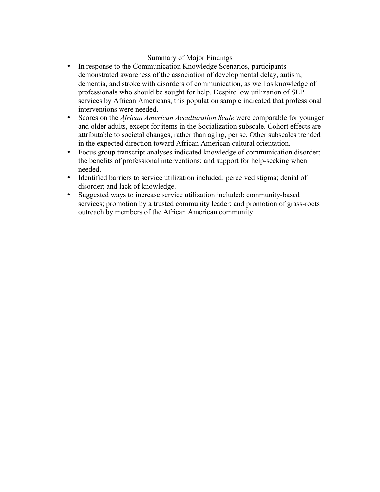# Summary of Major Findings

- In response to the Communication Knowledge Scenarios, participants demonstrated awareness of the association of developmental delay, autism, dementia, and stroke with disorders of communication, as well as knowledge of professionals who should be sought for help. Despite low utilization of SLP services by African Americans, this population sample indicated that professional interventions were needed.
- Scores on the *African American Acculturation Scale* were comparable for younger and older adults, except for items in the Socialization subscale. Cohort effects are attributable to societal changes, rather than aging, per se. Other subscales trended in the expected direction toward African American cultural orientation.
- Focus group transcript analyses indicated knowledge of communication disorder; the benefits of professional interventions; and support for help-seeking when needed.
- Identified barriers to service utilization included: perceived stigma; denial of disorder; and lack of knowledge.
- Suggested ways to increase service utilization included: community-based services; promotion by a trusted community leader; and promotion of grass-roots outreach by members of the African American community.